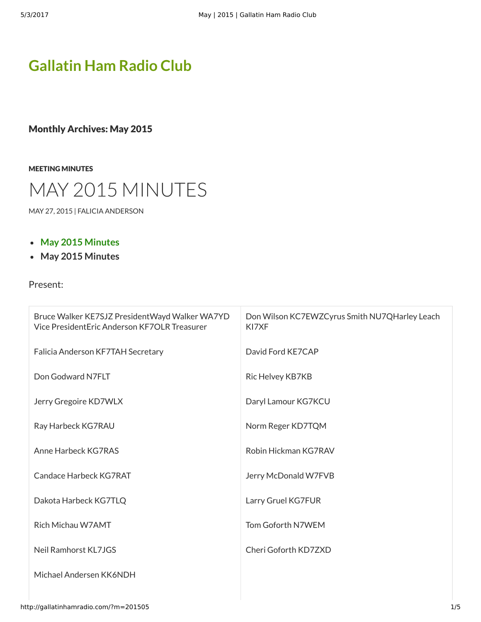# **[Gallatin Ham Radio Club](http://gallatinhamradio.com/)**

Monthly Archives: May 2015

[MEETING MINUTES](http://gallatinhamradio.com/?cat=2)



[MAY 27, 2015](http://gallatinhamradio.com/?p=234) | [FALICIA ANDERSON](http://gallatinhamradio.com/?author=2)

- **[May 2015 Minutes](http://gallatinhamradio.com/wp-content/uploads/2015/05/May-2015-Minutes.pdf)**
- **May 2015 Minutes**

Present:

| Bruce Walker KE7SJZ PresidentWayd Walker WA7YD<br>Vice President Eric Anderson KF7OLR Treasurer | Don Wilson KC7EWZCyrus Smith NU7QHarley Leach<br>KI7XF |
|-------------------------------------------------------------------------------------------------|--------------------------------------------------------|
| Falicia Anderson KF7TAH Secretary                                                               | David Ford KE7CAP                                      |
| Don Godward N7FLT                                                                               | Ric Helvey KB7KB                                       |
| Jerry Gregoire KD7WLX                                                                           | Daryl Lamour KG7KCU                                    |
| Ray Harbeck KG7RAU                                                                              | Norm Reger KD7TQM                                      |
| Anne Harbeck KG7RAS                                                                             | Robin Hickman KG7RAV                                   |
| Candace Harbeck KG7RAT                                                                          | Jerry McDonald W7FVB                                   |
| Dakota Harbeck KG7TLQ                                                                           | Larry Gruel KG7FUR                                     |
| Rich Michau W7AMT                                                                               | Tom Goforth N7WEM                                      |
| Neil Ramhorst KL7JGS                                                                            | Cheri Goforth KD7ZXD                                   |
| Michael Andersen KK6NDH                                                                         |                                                        |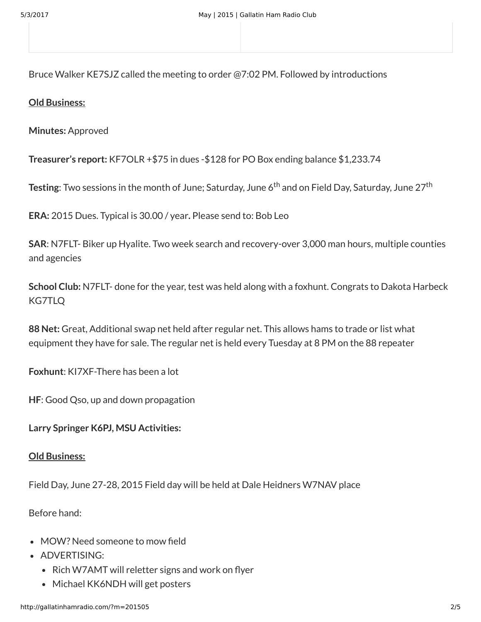Bruce Walker KE7SJZ called the meeting to order @7:02 PM. Followed by introductions

### **Old Business:**

**Minutes:** Approved

**Treasurer's report:** KF7OLR +\$75 in dues -\$128 for PO Box ending balance \$1,233.74

**Testing**: Two sessions in the month of June; Saturday, June 6<sup>th</sup> and on Field Day, Saturday, June 27<sup>th</sup>

**ERA:** 2015 Dues. Typical is 30.00 / year**.** Please send to: Bob Leo

**SAR**: N7FLT- Biker up Hyalite. Two week search and recovery-over 3,000 man hours, multiple counties and agencies

**School Club:** N7FLT- done for the year, test was held along with a foxhunt. Congrats to Dakota Harbeck KG7TLQ

**88 Net:** Great, Additional swap net held after regular net. This allows hams to trade or list what equipment they have for sale. The regular net is held every Tuesday at 8 PM on the 88 repeater

**Foxhunt**: KI7XF-There has been a lot

**HF**: Good Qso, up and down propagation

**Larry Springer K6PJ, MSU Activities:**

### **Old Business:**

Field Day, June 27-28, 2015 Field day will be held at Dale Heidners W7NAV place

Before hand:

- MOW? Need someone to mow field
- ADVERTISING:
	- Rich W7AMT will reletter signs and work on flyer
	- Michael KK6NDH will get posters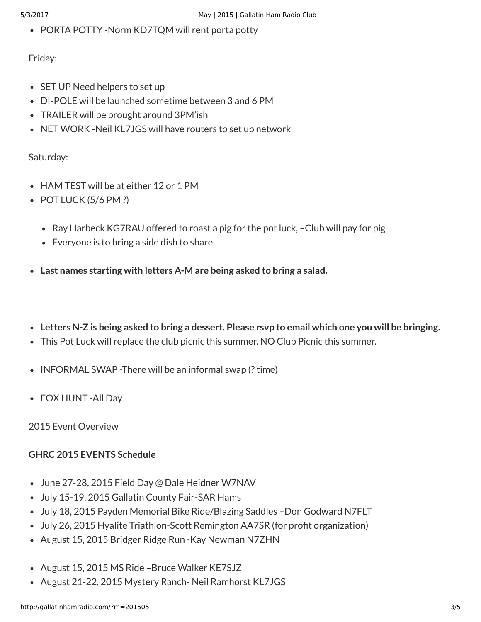• PORTA POTTY -Norm KD7TQM will rent porta potty

Friday:

- SET UP Need helpers to set up
- DI-POLE will be launched sometime between 3 and 6 PM
- TRAILER will be brought around 3PM'ish
- NET WORK -Neil KL7JGS will have routers to set up network

## Saturday:

- HAM TEST will be at either 12 or 1 PM
- $\bullet$  POT LUCK (5/6 PM ?)
	- Ray Harbeck KG7RAU offered to roast a pig for the pot luck, –Club will pay for pig
	- Everyone is to bring a side dish to share
- **Last names starting with letters A-M are being asked to bring a salad.**
- **Letters N-Z is being asked to bring a dessert. Please rsvp to email which one you will be bringing.**
- This Pot Luck will replace the club picnic this summer. NO Club Picnic this summer.
- $\bullet$  INFORMAL SWAP -There will be an informal swap (? time)
- FOX HUNT -All Day

2015 Event Overview

# **GHRC 2015 EVENTS Schedule**

- June 27-28, 2015 Field Day @ Dale Heidner W7NAV
- July 15-19, 2015 Gallatin County Fair-SAR Hams
- July 18, 2015 Payden Memorial Bike Ride/Blazing Saddles –Don Godward N7FLT
- July 26, 2015 Hyalite Triathlon-Scott Remington AA7SR (for profit organization)
- August 15, 2015 Bridger Ridge Run Kay Newman N7ZHN
- August 15, 2015 MS Ride Bruce Walker KE7SJZ
- August 21-22, 2015 Mystery Ranch- Neil Ramhorst KL7JGS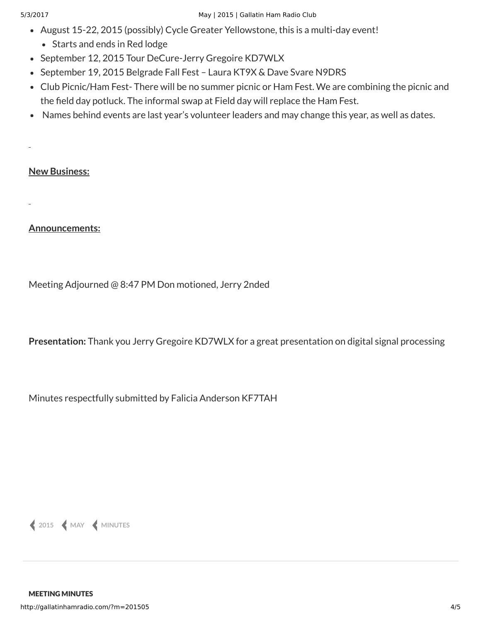- August 15-22, 2015 (possibly) Cycle Greater Yellowstone, this is a multi-day event!
	- Starts and ends in Red lodge
- September 12, 2015 Tour DeCure-Jerry Gregoire KD7WLX
- September 19, 2015 Belgrade Fall Fest Laura KT9X & Dave Svare N9DRS
- Club Picnic/Ham Fest- There will be no summer picnic or Ham Fest. We are combining the picnic and the field day potluck. The informal swap at Field day will replace the Ham Fest.
- Names behind events are last year's volunteer leaders and may change this year, as well as dates.

### **New Business:**

**Announcements:**

Meeting Adjourned @ 8:47 PM Don motioned, Jerry 2nded

**Presentation:** Thank you Jerry Gregoire KD7WLX for a great presentation on digital signal processing

Minutes respectfully submitted by Falicia Anderson KF7TAH